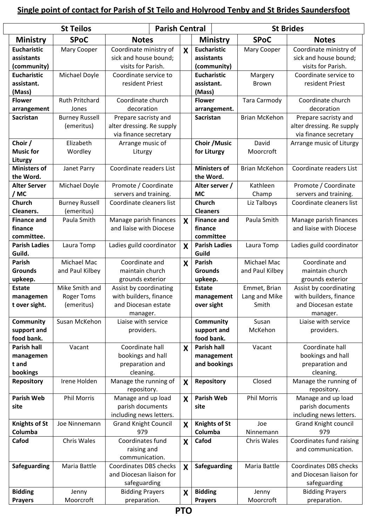## **Single point of contact for Parish of St Teilo and Holyrood Tenby and St Brides Saundersfoot**

| <b>St Teilos</b>     |                       |                               | <b>Parish Central</b> |                      | <b>St Brides</b>     |                             |
|----------------------|-----------------------|-------------------------------|-----------------------|----------------------|----------------------|-----------------------------|
| <b>Ministry</b>      | <b>SPoC</b>           | <b>Notes</b>                  |                       | Ministry             | <b>SPoC</b>          | <b>Notes</b>                |
| <b>Eucharistic</b>   | Mary Cooper           | Coordinate ministry of        | X                     | <b>Eucharistic</b>   | Mary Cooper          | Coordinate ministry of      |
| assistants           |                       | sick and house bound;         |                       | assistants           |                      | sick and house bound;       |
| (community)          |                       | visits for Parish.            |                       | (community)          |                      | visits for Parish.          |
| <b>Eucharistic</b>   | Michael Doyle         | Coordinate service to         |                       | <b>Eucharistic</b>   | Margery              | Coordinate service to       |
| assistant.           |                       | resident Priest               |                       | assistant.           | Brown                | resident Priest             |
| (Mass)               |                       |                               |                       | (Mass)               |                      |                             |
| <b>Flower</b>        | <b>Ruth Pritchard</b> | Coordinate church             |                       | <b>Flower</b>        | <b>Tara Carmody</b>  | Coordinate church           |
| arrangement          | Jones                 | decoration                    |                       | arrangement.         |                      | decoration                  |
| <b>Sacristan</b>     | <b>Burney Russell</b> | Prepare sacristy and          |                       | <b>Sacristan</b>     | <b>Brian McKehon</b> | Prepare sacristy and        |
|                      | (emeritus)            | alter dressing. Re supply     |                       |                      |                      | alter dressing. Re supply   |
|                      |                       | via finance secretary         |                       |                      |                      | via finance secretary       |
| Choir /              | Elizabeth             | Arrange music of              |                       | <b>Choir / Music</b> | David                | Arrange music of Liturgy    |
| <b>Music for</b>     | Wordley               | Liturgy                       |                       | for Liturgy          | Moorcroft            |                             |
| Liturgy              |                       |                               |                       |                      |                      |                             |
| <b>Ministers of</b>  | Janet Parry           | Coordinate readers List       |                       | <b>Ministers of</b>  | <b>Brian McKehon</b> | Coordinate readers List     |
| the Word.            |                       |                               |                       | the Word.            |                      |                             |
| <b>Alter Server</b>  | Michael Doyle         | Promote / Coordinate          |                       | Alter server /       | Kathleen             | Promote / Coordinate        |
|                      |                       | servers and training.         |                       | <b>MC</b>            |                      |                             |
| / MC                 |                       | Coordinate cleaners list      |                       |                      | Champ                | servers and training.       |
| <b>Church</b>        | <b>Burney Russell</b> |                               |                       | <b>Church</b>        | Liz Talboys          | Coordinate cleaners list    |
| Cleaners.            | (emeritus)            |                               |                       | <b>Cleaners</b>      |                      |                             |
| <b>Finance and</b>   | Paula Smith           | Manage parish finances        | $\mathbf{X}$          | <b>Finance and</b>   | Paula Smith          | Manage parish finances      |
| finance              |                       | and liaise with Diocese       |                       | finance              |                      | and liaise with Diocese     |
| committee.           |                       |                               |                       | committee            |                      |                             |
| <b>Parish Ladies</b> | Laura Tomp            | Ladies guild coordinator      | X                     | <b>Parish Ladies</b> | Laura Tomp           | Ladies guild coordinator    |
| Guild.               |                       |                               |                       | Guild                |                      |                             |
| <b>Parish</b>        | Michael Mac           | Coordinate and                | $\mathsf{X}$          | Parish               | Michael Mac          | Coordinate and              |
| <b>Grounds</b>       | and Paul Kilbey       | maintain church               |                       | <b>Grounds</b>       | and Paul Kilbey      | maintain church             |
| upkeep.              |                       | grounds exterior              |                       | upkeep.              |                      | grounds exterior            |
| <b>Estate</b>        | Mike Smith and        | Assist by coordinating        |                       | <b>Estate</b>        | Emmet, Brian         | Assist by coordinating      |
| managemen            | <b>Roger Toms</b>     | with builders, finance        |                       | management           | Lang and Mike        | with builders, finance      |
| t over sight.        | (emeritus)            | and Diocesan estate           |                       | over sight           | Smith                | and Diocesan estate         |
|                      |                       | manager.                      |                       |                      |                      | manager.                    |
| Community            | Susan McKehon         | Liaise with service           |                       | Community            | Susan                | Liaise with service         |
| support and          |                       | providers.                    |                       | support and          | McKehon              | providers.                  |
| food bank.           |                       |                               |                       | food bank.           |                      |                             |
| <b>Parish hall</b>   | Vacant                | Coordinate hall               | X                     | <b>Parish hall</b>   | Vacant               | Coordinate hall             |
| managemen            |                       | bookings and hall             |                       | management           |                      | bookings and hall           |
| t and                |                       | preparation and               |                       | and bookings         |                      | preparation and             |
| bookings             |                       | cleaning.                     |                       |                      |                      | cleaning.                   |
| <b>Repository</b>    | Irene Holden          | Manage the running of         | X                     | <b>Repository</b>    | Closed               | Manage the running of       |
|                      |                       | repository.                   |                       |                      |                      | repository.                 |
| <b>Parish Web</b>    | <b>Phil Morris</b>    | Manage and up load            | X                     | <b>Parish Web</b>    | <b>Phil Morris</b>   | Manage and up load          |
| site                 |                       | parish documents              |                       | site                 |                      | parish documents            |
|                      |                       | including news letters.       |                       |                      |                      | including news letters.     |
| <b>Knights of St</b> | Joe Ninnemann         | <b>Grand Knight Council</b>   | X                     | <b>Knights of St</b> | Joe                  | <b>Grand Knight council</b> |
| Columba              |                       | 979                           |                       | Columba              | Ninnemann            | 979                         |
| Cafod                | Chris Wales           | Coordinates fund              | X                     | Cafod                | Chris Wales          | Coordinates fund raising    |
|                      |                       | raising and                   |                       |                      |                      | and communication.          |
|                      |                       | communication.                |                       |                      |                      |                             |
| Safeguarding         | Maria Battle          | <b>Coordinates DBS checks</b> |                       | Safeguarding         | Maria Battle         | Coordinates DBS checks      |
|                      |                       | and Diocesan liaison for      | X                     |                      |                      | and Diocesan liaison for    |
|                      |                       |                               |                       |                      |                      |                             |
|                      |                       | safeguarding                  |                       |                      |                      | safeguarding                |
| <b>Bidding</b>       | Jenny                 | <b>Bidding Prayers</b>        | X                     | <b>Bidding</b>       | Jenny                | <b>Bidding Prayers</b>      |
| <b>Prayers</b>       | Moorcroft             | preparation.                  |                       | <b>Prayers</b>       | Moorcroft            | preparation.                |